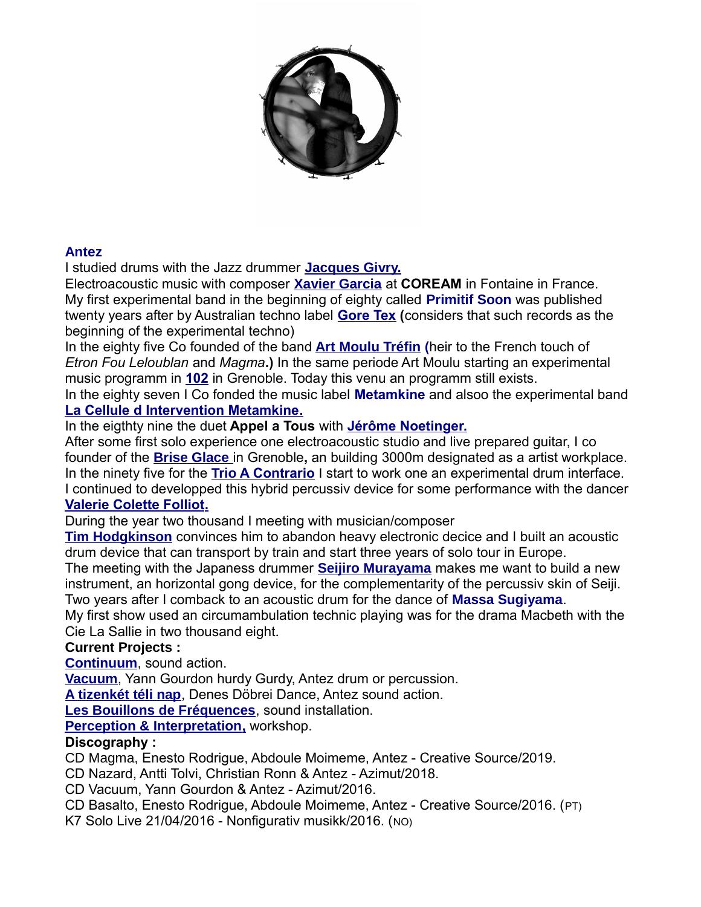

### **Antez**

I studied drums with the Jazz drummer **[Jacques Givry.](http://idai.free.fr/enseignants.htm)**

Electroacoustic music with composer **[Xavier Garcia](https://xaviergarcia.ovh/)** at **COREAM** in Fontaine in France. My first experimental band in the beginning of eighty called **Primitif Soon** was published twenty years after by Australian techno label **[Gore Tex](https://www.youtube.com/watch?v=6ZdCyycZ05Y&list=RD6ZdCyycZ05Y&start_radio=1&t=20) (**considers that such records as the beginning of the experimental techno)

In the eighty five Co founded of the band **[Art Moulu Tréfin](https://azimut.bandcamp.com/album/trio-a-contrario-live-in-102-grenoble-17-02-1996) (**heir to the French touch of *Etron Fou Leloublan* and *Magma***.)** In the same periode Art Moulu starting an experimental music programm in **[102](https://le102.net/)** in Grenoble. Today this venu an programm still exists.

In the eighty seven I Co fonded the music label **Metamkine** and alsoo the experimental band  **[La Cellule d Intervention Metamkine.](http://metamkine.free.fr/)**

## In the eigthty nine the duet **Appel a Tous** with **[Jérôme Noetinger.](https://www.discogs.com/fr/artist/75586-J%C3%A9r%C3%B4me-Noetinger)**

After some first solo experience one electroacoustic studio and live prepared guitar, I co founder of the **[Brise Glace](https://assobriseglace.wordpress.com/presentation/)** in Grenoble**,** an building 3000m designated as a artist workplace. In the ninety five for the **Trio[A Contrario](https://azimut.bandcamp.com/album/trio-a-contrario-live-in-102-grenoble-17-02-1996)** I start to work one an experimental drum interface. I continued to developped this hybrid percussiv device for some performance with the dancer  **[Valerie Colette Folliot.](https://www.lechappeebelleedition.com/valeriecolettefolliot_bio.html)**

During the year two thousand I meeting with musician/composer

**[Tim Hodgkinson](https://en.wikipedia.org/wiki/Tim_Hodgkinson)** convinces him to abandon heavy electronic decice and I built an acoustic drum device that can transport by train and start three years of solo tour in Europe.

The meeting with the Japaness drummer **[Seijiro Murayama](https://urojiise.wixsite.com/seijiromurayama)** makes me want to build a new instrument, an horizontal gong device, for the complementarity of the percussiv skin of Seiji. Two years after I comback to an acoustic drum for the dance of **Massa Sugiyama**.

My first show used an circumambulation technic playing was for the drama Macbeth with the Cie La Sallie in two thousand eight.

## **Current Projects :**

**[Continuum](http://www.antez.org/continuum.html)**, sound action.

**[Vacuum](http://www.antez.org/vacuum.html)**, Yann Gourdon hurdy Gurdy, Antez drum or percussion.

**[A tizenkét téli nap](http://www.antez.org/tizenket_teli_nap_engl.html)**, Denes Döbrei Dance, Antez sound action.

**[Les Bouillons de Fréquences](http://www.antez.org/bouillons.html)**, sound installation.

 **[Perception & Interpretation,](http://www.antez.org/workshop.html)** workshop.

### **Discography :**

CD Magma, Enesto Rodrigue, Abdoule Moimeme, Antez - Creative Source/2019.

CD Nazard, Antti Tolvi, Christian Ronn & Antez - Azimut/2018.

CD Vacuum, Yann Gourdon & Antez - Azimut/2016.

CD Basalto, Enesto Rodrigue, Abdoule Moimeme, Antez - Creative Source/2016. (PT)

K7 Solo Live 21/04/2016 - Nonfigurativ musikk/2016. (NO)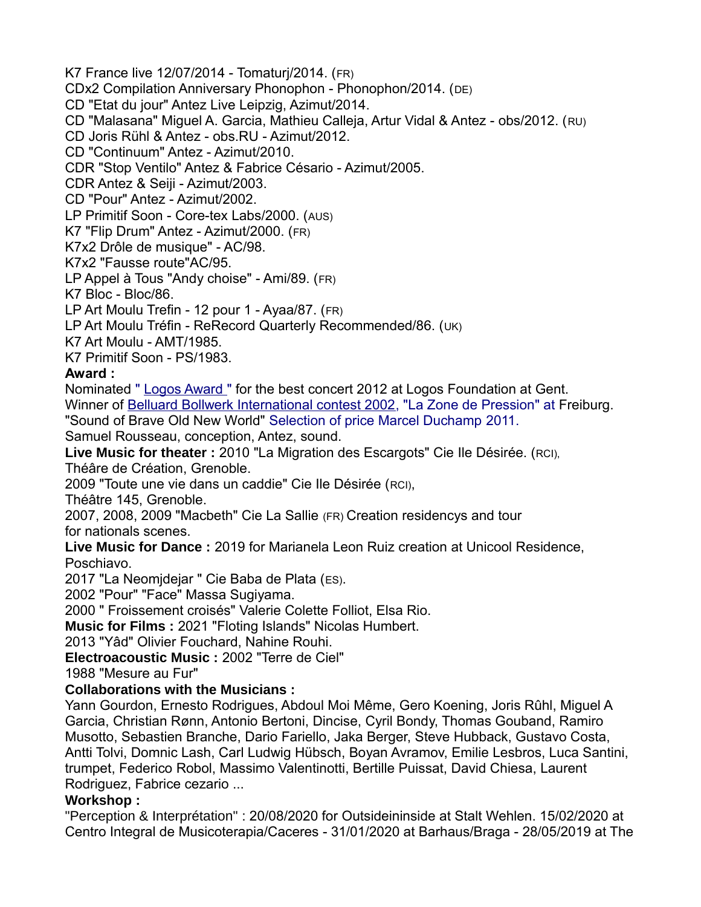K7 France live 12/07/2014 - Tomaturj/2014. (FR) CDx2 Compilation Anniversary Phonophon - Phonophon/2014. (DE) CD "Etat du jour" Antez Live Leipzig, Azimut/2014. CD "Malasana" Miguel A. Garcia, Mathieu Calleja, Artur Vidal & Antez - obs/2012. (RU) CD Joris Rühl & Antez - obs.RU - Azimut/2012. CD "Continuum" Antez - Azimut/2010. CDR "Stop Ventilo" Antez & Fabrice Césario - Azimut/2005. CDR Antez & Seiji - Azimut/2003. CD "Pour" Antez - Azimut/2002. LP Primitif Soon - Core-tex Labs/2000. (AUS) K7 "Flip Drum" Antez - Azimut/2000. (FR) K7x2 Drôle de musique" - AC/98. K7x2 "Fausse route"AC/95. LP Appel à Tous "Andy choise" - Ami/89. (FR) K7 Bloc - Bloc/86. LP Art Moulu Trefin - 12 pour 1 - Ayaa/87. (FR) LP Art Moulu Tréfin - ReRecord Quarterly Recommended/86. (UK) K7 Art Moulu - AMT/1985. K7 Primitif Soon - PS/1983. **Award :** Nominated " [Logos Award "](https://www.logosfoundation.org/logosawards.html) for the best concert 2012 at Logos Foundation at Gent. Winner of [Belluard Bollwerk International contest 2002,](https://belluard.ch/fr/archives) "La Zone de Pression" at Freiburg. "Sound of Brave Old New World" Selection of price Marcel Duchamp 2011. Samuel Rousseau, conception, Antez, sound. **Live Music for theater :** 2010 "La Migration des Escargots" Cie Ile Désirée. (RCI), Théâre de Création, Grenoble. 2009 "Toute une vie dans un caddie" Cie Ile Désirée (RCI), Théâtre 145, Grenoble. 2007, 2008, 2009 "Macbeth" Cie La Sallie (FR) Creation residencys and tour for nationals scenes. **Live Music for Dance :** 2019 for Marianela Leon Ruiz creation at Unicool Residence, Poschiavo. 2017 "La Neomjdejar " Cie Baba de Plata (ES). 2002 "Pour" "Face" Massa Sugiyama. 2000 " Froissement croisés" Valerie Colette Folliot, Elsa Rio. **Music for Films :** 2021 "Floting Islands" Nicolas Humbert. 2013 "Yâd" Olivier Fouchard, Nahine Rouhi. **Electroacoustic Music :** 2002 "Terre de Ciel" 1988 "Mesure au Fur" **Collaborations with the Musicians :** Yann Gourdon, Ernesto Rodrigues, Abdoul Moi Même, Gero Koening, Joris Rûhl, Miguel A Garcia, Christian Rønn, Antonio Bertoni, Dincise, Cyril Bondy, Thomas Gouband, Ramiro Musotto, Sebastien Branche, Dario Fariello, Jaka Berger, Steve Hubback, Gustavo Costa, Antti Tolvi, Domnic Lash, Carl Ludwig Hübsch, Boyan Avramov, Emilie Lesbros, Luca Santini,

trumpet, Federico Robol, Massimo Valentinotti, Bertille Puissat, David Chiesa, Laurent Rodriguez, Fabrice cezario ...

### **Workshop :**

"Perception & Interprétation" : 20/08/2020 for Outsideininside at Stalt Wehlen. 15/02/2020 at Centro Integral de Musicoterapia/Caceres - 31/01/2020 at Barhaus/Braga - 28/05/2019 at The